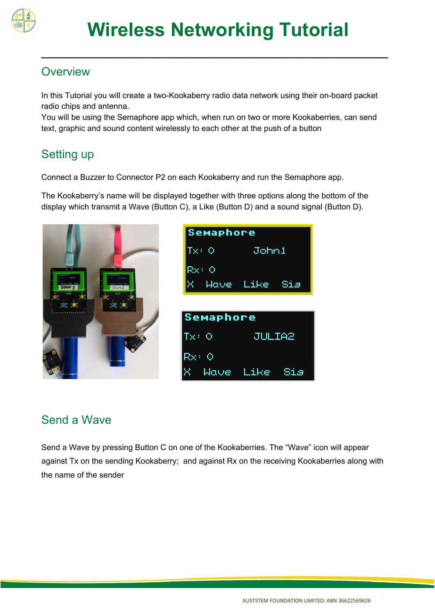

**\_\_\_\_\_\_\_\_\_\_\_\_\_\_\_\_\_\_\_\_\_\_\_\_\_\_\_\_\_\_\_\_\_\_\_\_\_\_\_\_\_\_\_\_\_\_\_\_\_\_\_\_\_\_\_\_\_\_\_\_\_**

### **Overview**

In this Tutorial you will create a two-Kookaberry radio data network using their on-board packet radio chips and antenna.

You will be using the Semaphore app which, when run on two or more Kookaberries, can send text, graphic and sound content wirelessly to each other at the push of a button

# Setting up

Connect a Buzzer to Connector P2 on each Kookaberry and run the Semaphore app.

The Kookaberry's name will be displayed together with three options along the bottom of the display which transmit a Wave (Button C), a Like (Button D) and a sound signal (Button D).



## Send a Wave

Send a Wave by pressing Button C on one of the Kookaberries. The "Wave" icon will appear against Tx on the sending Kookaberry; and against Rx on the receiving Kookaberries along with the name of the sender